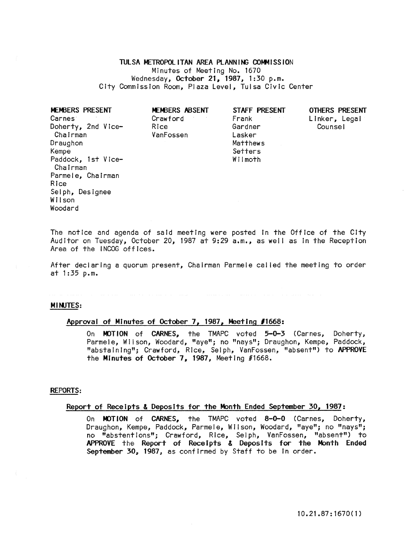TULSA METROPOLITAN AREA PLANNING COMMISSION Minutes of Meeting No. 1670 Wednesday, October 21, 1987, 1:30 p.m. City Commission Room, Plaza Level, Tulsa Civic Center

MEMBERS PRESENT Carnes Doherty, 2nd Vice-Chairman **Draughon** Kempe Paddock, 1st Vice-Chairman Parmele, Chairman Rice Selph, Designee Wilson Woodard

MEMBERS ABSENT Crawford<br>Rice VanFossen

STAFF PRESENT Frank<br>Gardner Lasker Matthews Setters<br>Wilmoth

OTHERS PRESENT Linker, Legal

The notice and agenda of said meeting were posted in the Office of the City Auditor on Tuesday, October 20, 1987 at 9:29 a.m., as well as in the Reception Area of the iNCOG offices.

After declaring a quorum present, Chairman Parmele cal led the meeting to order at  $1:35$  p.m.

MINJTES:

# Approval of Minutes of October 7, 1987, Meeting *11668:*

On MOTION of CARNES, the TMAPC voted 5-0-3 (Carnes, Doherty, Parmele, Wilson, Woodard, "aye"; no "nays"; Draughon, Kempe, Paddock, "abstaining"; Crawford, Rice, Selph, VanFossen, "absent") to APPROVE the MInutes of October 7, 1987, Meeting #1668.

## REPORTS:

### Report of Receipts & DeposIts for the Month Ended September 30, 1987:

On MOTION of CARNES, the TMAPC voted 8-0-0 (Carnes, Doherty, Draughon, Kempe, Paddock, Parmele, Wilson, Woodard, "aye"; no "nays"; no "abstentions"; Crawford, Rice, Selph, VanFossen, "absent") to APPROVE the Report of Receipts & Deposits for the Month Ended September 30, 1987, as confirmed by Staff to be in order.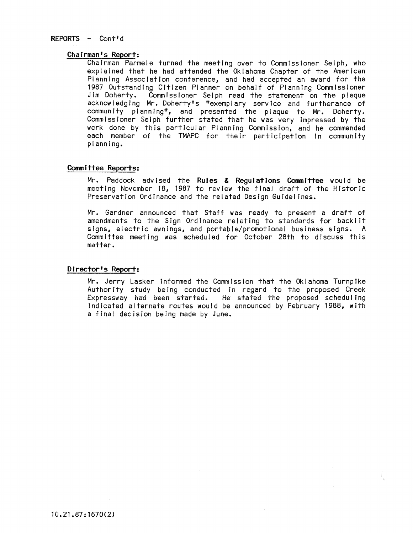# Chairman's Report:

Chairman Parmele turned the meeting over to Commissioner Selph, who explained that he had attended the Oklahoma Chapter of the American Planning Association conference, and had accepted an award for the 1987 Outstanding Citizen Planner on behalf of Planning Commissioner<br>Jim Doherty. Commissioner Selph read the statement on the plaque Commissioner Selph read the statement on the plaque acknowledging Mr. Doherty's "exemplary service and furtherance of community planning", and presented the plaque to Mr. Doherty. CommissIoner Selph further stated that he was very Impressed by the work done by this particular Planning Commission, and he commended each member of the TMAPC for their participatIon In community planning.

# Committee Reports:

Mr. Paddock advised the Rules & Regulations Committee would be meeting November 18, 1987 to review the final draft of the HIstoric Preservation Ordinance and the related Design Guldei fnes.

Mr. Gardner announced that Staff was ready to present a draft of amendments to the Sign Ordinance relating to standards for backlit signs, electric awnings, and portable/promotional business signs. A Committee meeting was scheduled for October 28th to discuss this matter.

# Director's Report:

Mr. Jerry Lasker Informed the Commission that the Oklahoma TurnpIke Authority study being conducted in regard to the proposed Creek Expressway had been started. He stated the proposed scheduling Indicated alternate routes would be announced by February 1988, with a final decision being made by June.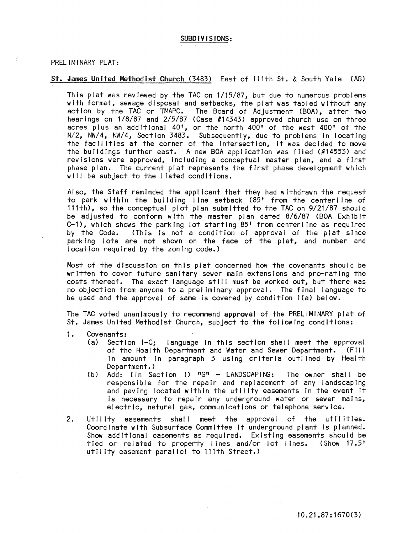## SUBDIVISIONS:

### PRELIMINARY PLAT:

# St. James United Methodist Church (3483) East of l11th St. & South Yale (AG)

This plat was reviewed by the TAC on 1/15/87, but due to numerous problems with format, sewage disposal and setbacks, the plat was tabled without any action by the TAC or TMAPC. The Board of Adjustment (BOA), after two The Board of Adjustment (BOA), after two hearings on 1/8/87 and 2/5/87 (Case #14343) approved church use on three acres plus an additional 40', or the north 400' of the west 400' of the N/2, NW/4, NW/4, Section 3483. Subsequently, due to problems in locating the facilities at the corner of the Intersection, It was decided to move the buildings further east. A new BOA application was flied (#14553) and revisions were approved, including a conceptual master plan, and a first phase plan. The current plat represents the first phase development which will be subject to the listed conditions.

Also, the Staff reminded the applicant that they had withdrawn the request to park within the building line setback (85' from the centerline of l11th), so the conceptual plot plan submitted to the TAC on 9/21/87 should be adjusted to conform with the master plan dated 8/6/87 (BOA Exhibit  $C-1$ ), which shows the parking lot starting  $85'$  from centerline as required by the Code. (This is not a condition of approval of the plat since parking lots are not shown on the face of the plat, and number and location required by the zoning code.)

Most of the dIscussion on this plat concerned how the covenants should be written to cover future sanitary sewer main extensions and pro-rating the costs thereof. The exact language stili must be worked out, but there was no objection from anyone to a preliminary approval. The final language to be used and the approval of same Is covered by condition l(a) below.

The TAC voted unanimously to recommend approval of the PRELIMINARY plat of St. James United Methodist Church, subject to the following conditions:

- 1. Covenants:
	- (a) Section I-Cj language In this section shall meet the approval of the Health Department and Water and Sewer Department. (Fill In amount In paragraph 3 using crIterIa outlIned by Health Department.)
	- (b) Add: (In SectIon I) "G" LANDSCAPING: The owner shall be responsible for the repair and replacement of any landscaping and paving located wIthin the utility easements In the event It is necessary to repair any underground water or sewer mains, electric, natural gas, communications or telephone service.
- 2. Utility easements shall meet the approval of the utilities. Coordinate with Subsurface Committee If underground plant Is planned. Show additional easements as required. ExIsting easements should be tied or related to property lines and/or lot lines. (Show 17.5' utility easement parallel to 111th Street.)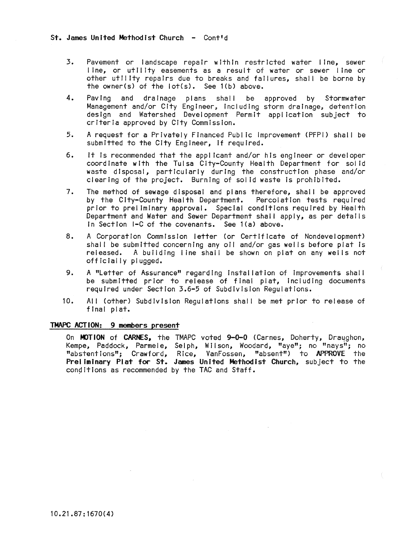# St. James United Methodist Church - Cont'd

- 3. Pavement or land scape repair within restricted water line, sewer line, or utility easements as a result of water or sewer line or other utility repairs due to breaks and failures, shall be borne by the owner(s) of the lot(s). See l(b) above.
- 4. Paving and drainage plans shall be approved by Stormwater Management and/or City Engineer, Including storm drainage; detention design and Watershed Development Permit application subject to criteria approved by City Commission.
- 5. A request for a Privately Financed Public Improvement (PFPI) shal I be submitted to the City Engineer, If required.
- 6. It Is recommended that the applicant and/or his engineer or developer coord Inate with the Tulsa City-County Health Department for solid waste disposal, particularly during the construction phase and/or clearing of the project. Burning of solid waste Is prohibited.
- 7. The method of sewage disposal and plans therefore, shall be approved<br>by the City-County Health Department. Percolation tests required by the City-County Health Department. prior to preliminary approval. Special conditions required by Health Department and Water and Sewer Department shall apply, as per details In Section I-C of the covenants. See l(a) above.
- 8. A Corporation Commission letter (or Certificate of Nondevelopment) shall be submitted concerning any oil and/or gas wells before plat is released. A building line shall be shown on plat on any wells not officially plugged.
- 9. A "Letter of Assurance" regarding installation of Improvements shall be submitted prior to release of final plat, including documents required under Section 3.6-5 of Subdivision Regulations.
- 10. All (other) Subdivision Requiations shall be met prior to release of final plat.

# TMAPC ACTION: 9 members present

On MOTION of CARNES, the TMAPC voted 9-0-0 (Carnes, Doherty, Draughon, Kempe, Paddock, Parmele, Selph, Wilson, Woodard, "aye"; no "nays"; no "abstentions"; Crawford, Rice, VanFossen, "absent") to APPROVE the Preliminary Plat for St. James United MethodIst Church, subject to the conditions as recommended by the TAC and Staff.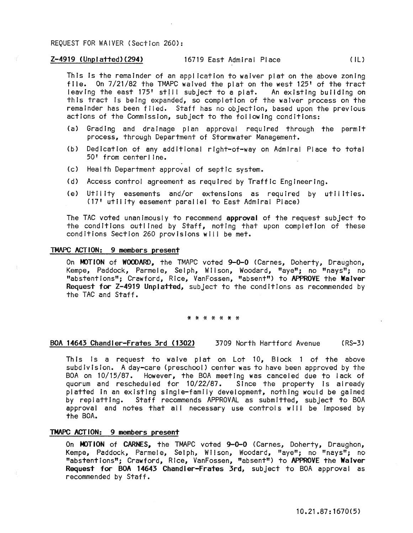## REQUEST FOR WAIVER (Section 260):

# Z-4919 (Unplatted)(294) 16719 East Admiral Place ( IU

This Is the remainder of an appl icatlon to waiver plat on the above zoning file. On 7/21/82 the TMAPC waived the plat on the west 125' of the tract leaving the east 175' still subject to a plat. An existing building on this tract Is being expanded, so completion of the waiver process on the remainder has been filed. Staff has no objection, based upon the previous actions of the Commission, subject to the fol lowing conditions:

- (a) Grading and drainage plan approval required through the permit process, through Department of Stormwater Management.
- (b) Dedication of any additional right-of-way on Admiral Place to total 50' from centerline.
- (c) Health Department approval of septic system.
- (d) Access control agreement as required by Traffic Engineering.
- (e) Utility easements and/or extensions as required by utilities. (17' utility easement paral lei to East Admiral Place)

The TAC voted unanimously to recommend approval of the request subject to the conditions outlined by Staff, noting that upon completion of these conditions Section 260 provisions wll I be met.

### TMAPC ACTION: 9 members present

On MOTION of WOODARD, the TMAPC voted 9-0-0 (Carnes, Doherty, Draughon, Kempe, Paddock, Parmele, Selph, Wilson, Woodard, "aye"; no "nays"; no "abstentions"; Crawford, Rice, VanFossen, "absent") to APPROVE the Waiver Request for Z-4919 Unplatted, subject to the conditions as recommended by the TAC and Staff.

\* \* \* \* \* \* \*

### BOA 14643 Chandler-Frates 3rd (1302) 3709 North Hartford Avenue (RS-3)

This Is a request to waive plat on Lot 10, Block 1 of the above subdivision. A day-care (preschool) center was to have been approved by the BOA on 10/15/87. However, the BOA meeting was canceled due to lack of quorum and rescheduled for 10/22/87. Since the property is already platted In an existing single-family development, nothing would be gained by replattlng. Staff recommends APPROVAL as submitted, subject to BOA approval and notes that all necessary use controls will be imposed by the BOA.

# TMAPC ACTION: 9 members present

On MOTION of CARNES, the TMAPC voted 9-0-0 (Carnes, Doherty, Draughon, Kempe, Paddock, Parmele, Selph, Wilson, Woodard, "aye"; no "nays"; no "abstentions"; Crawford, Rice, VanFossen, "absent") to APPROVE the Waiver Request for BOA 14643 Chandler-Frates 3rd, subject to BOA approval as recommended by Staff.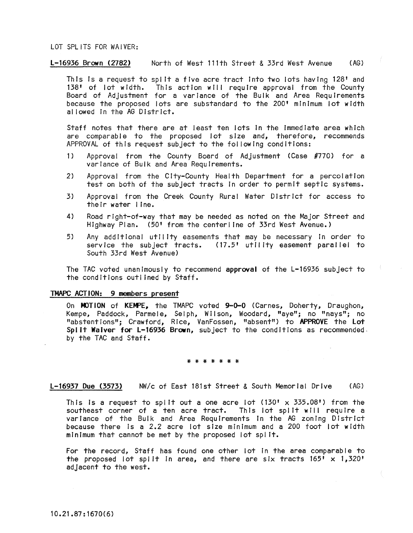## LOT SPLiTS FOR WAiVER:

### L-16936 Brown (2782) North of West l11th Street & 33rd West Avenue (AG)

This is a request to split a five acre tract into two lots having 128' and 138' of lot width. This action will require approval from the County Board of Adjustment for a variance of the Bulk and Area Requirements because the proposed lots are substandard to the 200' minimum lot width al lowed In the AG District.

Staff notes that there are at least ten lots In the Immediate area which are comparable to the proposed lot size and, therefore, recommends APPROVAL of this request subject to the following conditions:

- 1) Approval from the County Board of Adjustment (Case #770) for a variance of Bulk and Area Requirements.
- 2) Approval from the City-County Health Department for a percolation test on both of the subject tracts In order to permit septic systems.
- 3) Approval from the Creek County Rural Water District for access to their water line.
- 4) Road right-of-way that may be needed as noted on the Major Street and Highway Plan. (50' from the centerline of 33rd West Avenue.)
- 5) Any additional utility easements that may be necessary in order to service the subject tracts. (17.5' utility easement parallel to South 33rd West Avenue)

The TAC voted unanimously to recommend approval of the L-16936 subject to the conditions outlined by Staff.

### TMAPC ACTION: 9 members present

On MOTION of KEMPE, the TMAPC voted 9-0-0 (Carnes, Doherty, Draughon, Kempe, Paddock, Parmele, Selph, Wilson, Woodard, "aye"; no "nays"; no "abstentions"; Crawford, Rice, VanFossen, "absent") to APPROVE the Lot Split Waiver for L-16936 Brown, subject to the conditions as recommended. by the TAC and Staff.

#### \* \* \* \* \* \* \*

L-16937 Due (3573) *NW/c* of East 181st Street & South Memorial Drive (AG)

This is a request to split out a one acre lot  $(130' \times 335.08')$  from the southeast corner of a ten acre tract. This lot split will require a var I ance of the Bulk and Area Requirements In the AG zoning District because there Is a 2.2 acre lot size minimum and a 200 foot lot width minimum that cannot be met by the proposed lot spl It.

For the record, Staff has found one other lot In the area comparable to the proposed lot split in area, and there are six tracts  $165^{\dagger} \times 1,320^{\dagger}$ adjacent to the west.

10.21.87:1670(6)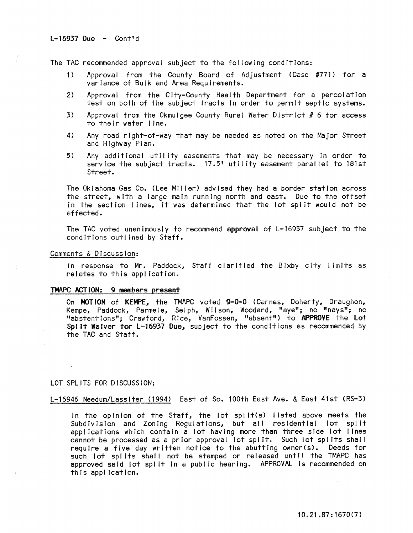The TAC recommended approval subject to the fol lowing conditions:

- 1) Approval from the County Board of Adjustment (Case #771) for a variance of Bulk and Area Requirements.
- 2) Approval from the City-County Health Department for a percolation test on both of the subject tracts in order to permit septic systems.
- 3) Approval from the Okmulgee County Rural Water District  $# 6$  for access to their water line.
- 4) Any road right-of-way that may be needed as noted on the Major Street and Highway Plan.
- 5) Any add itional utility easements that may be necessary in order to service the subject tracts. 17.5' utility easement parallel to 181st Street.

The Oklahoma Gas Co. (Lee Miller) advised they had a border station across the street, with a large main running north and east. Due to the offset In the section lines, It was determined that the lot spilt would not be affected.

The TAC voted unanimously to recommend approval of L-16937 subject to the conditions outlined by Staff.

Comments & Discussion:

in response to Mr. Paddock, Staff clarified the Bixby city i Imlts as relates to this application.

## TMAPC ACTION: 9 members present

On MOTION of KEMPE, the TMAPC voted 9-0-0 (Carnes, Doherty, Draughon, Kempe, Paddock, Parmele, Selph, Wilson, Woodard, "aye"; no "nays"; no "abstentions"; Crawford, Rice, VanFossen, "absent") to APPROVE the Lot Split Waiver for L-16937 Due, subject to the conditions as recommended by the TAC and Staff.

LOT SPLITS FOR DISCUSSION:

L-16946 Needum/Lasslter (1994) East of So. 100th East Ave. & East 41st (RS-3)

In the opinion of the Staff, the lot split(s) listed above meets the Subdivision and Zoning Regulations, but all residential lot split applications which contain a lot having more than three side lot lines cannot be processed as a prior approval lot spl It. Such lot spl Its shal I require a five day written notice to the abutting owner(s). Deeds for such lot splits shall not be stamped or released until the TMAPC has approved said lot spl It In a public hearing. APPROVAL Is recommended on thIs appl icatlon.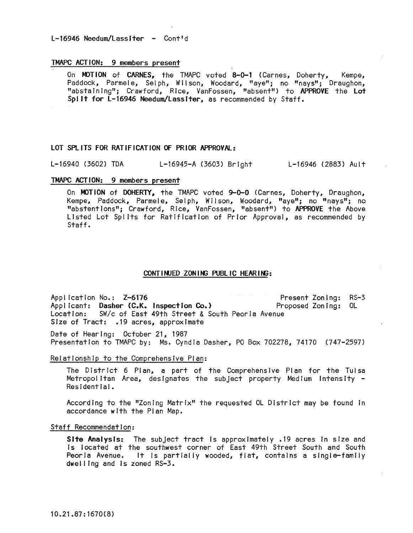# L-16946 Needum/Lassiter - Cont'd

### TMAPC ACTION: 9 members present

On MOTION of CARNES, the TMAPC voted 8-0-1 (Carnes, Doherty, Kempe, Paddock, Parmele, Selph, Wilson, Woodard, "aye"; no "nays"; Draughon, "abstaining"; Crawford, Rice, VanFossen, "absent") to APPROVE the Lot Split for L-16946 Needum/Lassiter, as recommended by Staff.

### LOT SPLITS FOR RATIFICATION OF PRIOR APPROVAL:

L-16940 (3602) TDA L-16945-A (3603) Bright L-16946 (2883) Ault

## TMAPC ACTION: 9 members present

On MOTION of DOHERTY, the TMAPC voted 9-0-0 (Carnes, Doherty, Draughon, Kempe, Paddock, Parmele, Selph, Wilson, Woodard, "aye"; no "nays"; no "abstentions"; Crawford, Rice, VanFossen, "absent") to APPROVE the Above Listed Lot Splits for Ratification of Prior Approval, as recommended by Staff.

#### CONT I NUED ZON ING PUBLIC HEARING:

Application No.: Z-6176 Present Zoning: RS-3 Applicant: Dasher (C.K. Inspection Co.) Proposed Zoning: OL<br>Location: SW/c of East 49th Street & South Peoria Avenue SW/c of East 49th Street & South Peoria Avenue Size of Tract: .19 acres, approximate

Date of HearIng: October 21, 1987 Presentation to TMAPC by: Ms. Cyndla Dasher, PO Box 702278, 74170 (747-2597)

Relationship to the Comprehensive Plan:

The District 6 Plan, a part of the Comprehensive Plan for the Tulsa Metropolitan Area, designates the subject property Medium Intensity - Residential.

According to the "Zoning Matrix" the requested OL District may be found In accordance with the Plan Map.

#### Staff Recommendation:

Site Analysis: The subject tract Is approximately .19 acres In size and Is located at the southwest corner of East 49th Street South and South Peoria Avenue. It Is partially wooded, flat, contains a single-family dwelling and Is zoned RS-3.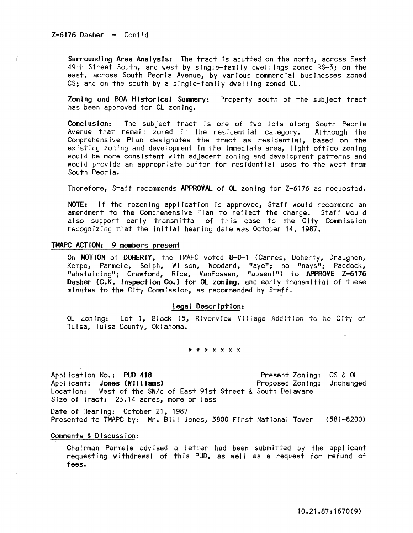$Z-6176$  Dasher  $-$  Cont'd

Surrounding Area Analysis: The tract Is abutted on the north, across East 49th Street South, and west by single-family dwellings zoned RS-3; on the east, across South Peoria Avenue, by various commercial businesses zoned CS; and on the south by a single-family dwelling zoned OL.

Zoning and BOA Historical Summary: Property south of the subject tract **has** been **approved for OL zoning.** 

Conclusion: The subject tract is one of two lots along South Peoria Avenue that remain zoned in the residential category. Although the Comprehensive Plan designates the tract as residential, based on the existing zoning and development in the immediate area, light office zoning would be more consistent with adjacent zoning and development patterns and would provide an appropriate buffer for residential uses to the west from South Peoria.

Therefore, Staff recommends APPROVAL of OL zoning for Z-6176 as requested.

NOTE: If the rezoning application is approved, Staff would recommend an amendment to the ComprehensIve Plan to reflect the change. Staff would also support early transmittal of this case to the City Commission recognizing that the Initial hearing date was October 14, 1987.

### TMAPC ACTION: 9 members present

On MOTION of DOHERTY, the TMAPC voted 8-0-1 (Carnes, Doherty, Draughon, Kempe, Parmeie, Selph, Wilson, Woodard, "aye"; no "nays"; Paddock, "abstaining"; Crawford, Rice, VanFossen, "absent") to APPROVE Z-6176 Dasher (C.K. Inspection Co.) for OL zoning, and early transmittal of these minutes to the City CommIssion, as recommended by Staff.

## legal Description:

OL Zoning: Lot 1, Block 15, Riverview Village Addition to he City of Tulsa, Tulsa County, Oklahoma.

### \* \* \* \* \* \* \*

Application No.: PUD 418 Applicant: Jones (Williams) Location: West of the SW/c of East 91st Street & South Delaware Size of Tract: 23.14 acres, more or less Present Zoning: CS & OL Proposed Zoning: Unchanged

Date of Hearing: October 21, 1987 Presented to TMAPC by: Mr. BIII Jones, 3800 First National Tower (581-8200)

## Comments & Discussion:

Chairman Parmele advised a letter had been submitted by the applicant requesting withdrawal of this PUD, as well as a request for refund of fees.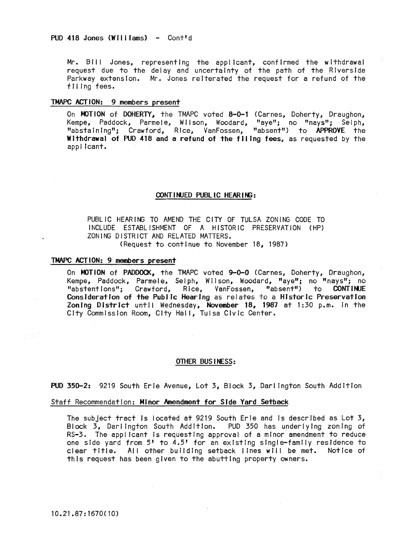Mr. Bill Jones, representing the applicant, confirmed the withdrawal request due to the delay and uncertainty of the path of the Riverside Parkway extension. Mr. Jones reiterated the request for a refund of the fIlIng fees.

## TMAPC ACTION: 9 members present

On MOTION of DOHERTY, the TMAPC voted 8-0-1 (Carnes, Doherty, Draughon, Kempe, Paddock, Parmele, Wilson, Woodard, "aye"; no "nays"; Selph, "abstaining"; Crawford, Rice, VanFossen, "absent") to APPROVE the WIthdrawal of PUD 418 and a refund of the **tiling** fees, as requested by the applIcant.

### CONTINUED PUBLIC HEARING:

PUBLIC HEARING TO AMEND THE CITY OF TULSA ZONING CODE TO INCLUDE ESTABLISHMENT OF A HISTORIC PRESERVATION (HP) ZONING DISTRICT AND RELATED MATTERS. (Request to continue to November 18, 1987)

### TMAPC ACTION: 9 members present

On MOTION of PADDOCK. the TMAPC voted 9-0-0 (Carnes, Doherty, Draughon, Kempe, Paddock, Parmele, Selph, Wilson, Woodard, "aye"; no "nays"; no "abstentions"; Crawford, RIce, VanFossen, "absent") to CONTINJE Consideration of the Public Hearing as relates to a Historic Preservation Zoning District until Wednesday, November 18, 1987 at 1:30 p.m. in the City Commission Room, City Hal I, Tulsa Civic Center.

## OTHER BUSINESS:

PUD 350-2: 9219 South Erie Avenue, Lot 3, Block 3, Dart Ington South AddItion

# Staff Recommendation: Minor Amendment tor Side Yard Setback

The subject tract is located at 9219 South Erie and Is descrIbed as Lot 3, Block 3, Darlington South AdditIon. PUD 350 has underlying zoning of RS-3. The applicant Is requesting approval of a minor amendment to reduce one side yard from 5' to 4.5' for an existing single-family residence to<br>clear title. All other building setback lines will be met. Notice of clear title. All other building setback lines will be met. this request has been given to the abutting property owners.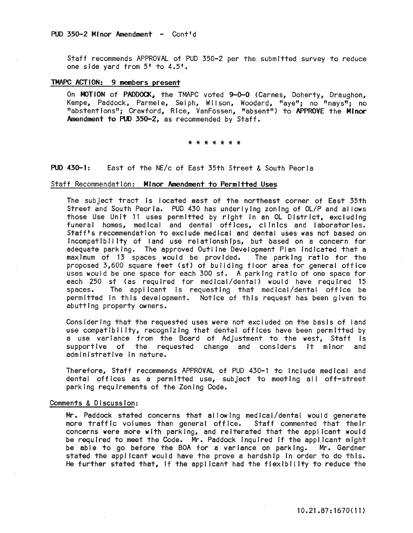Staff recommends APPROVAL of PUD 350-2 per the submitted survey to reduce one side yard from 5' to 4.5'.

## TMAPC ACTION: 9 members present

On MOTION of PADDOCK, the TMAPC voted 9-0-0 (Carnes, Doherty, Draughon, Kempe, Paddock, Parmele, Seiph, Wilson, Woodard, "aye"; no "nays"; no "abstentions"; Crawford, Rice, VanFossen, "absent") to APPROVE the Minor Amendment to PUD 350-2, as recommended by Staff.

### \* \* \* \* \* \* \*

# PUD 430-1: East of the NE/c of East 35th Street & South Peoria

### Staff Recommendation: Minor Amendment to Permitted Uses

The subject tract is located east of the northeast corner of East 35th Street and South Peoria. PUD 430 has underlying zoning of OL/P and al lows those Use Unit 11 uses permitted by right In an OL District, excluding funeral homes, medical and dental offices, clinics and laboratories. Staff's recommendation to exclude medical and dental uses was not based on Incompatibility of land use relationships, but based on a concern for adequate parking. The approved Outline Development Plan Indicated that a maximum of 13 spaces would be provided. The parking ratio for the proposed 3,600 square feet (sf) of building floor area for general office uses would be one space for each 300 sf. A parking ratio of one space for each 250 sf (as required for medical/dental) would have required 15 spaces. The applicant is requesting that medical/dental office be permitted In this development. Notice of this request has been given to abutting property owners.

Considering that the requested uses were not excluded on the basis of land use compatibility, recognizing that dental offices have been permitted by a use variance from the Board of Adjustment to the west, Staff is supportive of the requested change and considers It minor and administrative in nature.

Therefore, Staff recommends APPROVAL of PUD 430-1 to include medical and dental offices as a permitted use, subject to meeting all off-street parking requirements of the Zoning Code.

#### Comments & Discussion:

Mr. Paddock stated concerns that allowing medical/dental would generate more traffic volumes than general office. Staff commented that their concerns were more with parking, and reiterated that the applicant would be required to meet the Code. Mr. Paddock Inquired If the applicant might be able to go before the BOA for a variance on parking. Mr. Gardner stated the applicant would have the prove a hardship in order to do this. He further stated that, If the applicant had the flexibility to reduce the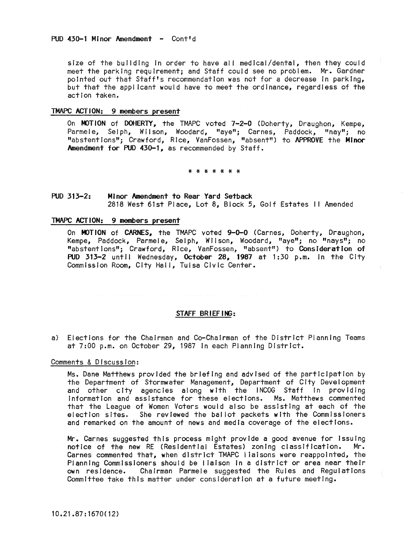size of the building in order to have all medical/dental, then they could meet the parking requirement; and Staff could see no problem. Mr. Gardner pointed out that Staff's recommendation was not for a decrease In parking, but that the applicant would have to meet the ordinance, regardless of the action taken.

# TMAPC ACTION: 9 members present

On MOTION of DOHERTY, the TMAPC voted 7-2-0 (Doherty, Draughon, Kempe, Parmele, Selph, Wilson, Woodard, "aye"; Carnes, Paddock, "nay"; no "abstent Ions"; Crawford, Rice, VanFossen, "absent") to APPROVE the Minor Amendment for PUD 430-1, as recommended by Staff.

\* \* \* \* \* \* \*

# PUD 313-2: Minor Amendment to Rear Yard Setback 2818 West 61st Place, Lot 8, Block 5, Golf Estates II Amended

# TMAPC ACTION: 9 members present

On MOTION of CARNES, the TMAPC voted 9-0-0 (Carnes, Doherty, Draughon, Kempe, Paddock, Parmele, Selph, Wilson, Woodard, "aye"; no "nays"; no "abstentions"; Crawford, Rice, VanFossen, "absent") to Consideration of PUD 313-2 until Wednesday, October 28, 1987 at 1:30 p.m. In the City Commission Room, City Hall, Tulsa Civic Center.

#### STAFF BRIEF ING:

a) Elections for the Chairman and Co-Chairman of the District Planning Teams at 7:00 p.m. on October 29, 1987 In each Planning District.

### Comments & Discussion:

Ms. Dane Matthews provided the briefing and advised of the participation by the Department of Stormwater Management, Department of City Development and other city agencies along with the INCOG Staff In providing Information and assistance for these elections. Ms. Matthews commented that the League of Women Voters would also be assisting at each of the election sites. She reviewed the ballot packets with the Commissioners and remarked on the amount of news and media coverage of the elections.

Mr. Carnes suggested this process might provide a good avenue for Issuing notice of the new RE (ResIdential Estates) zoning classification. Mr. Carnes commented that, when district TMAPC i iaisons were reappointed, the Planning Commissioners should be liaison In a dIstrict or area near theIr own residence. Chairman Parmele suggested the Rules and Regulations Committee take this matter under consideration at a future meeting.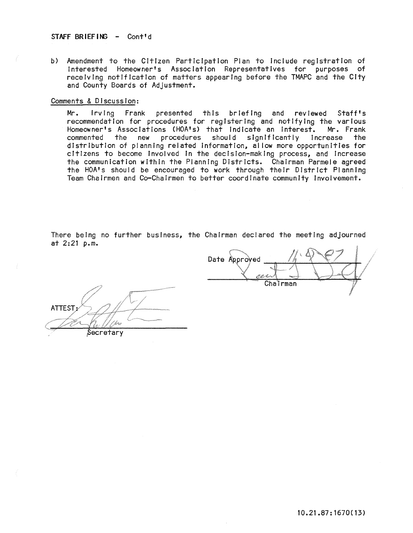b) Amendment to the Citizen Participation Plan to include registration of Interested Homeowner's AssocIation Representatives for purposes of receiving notificatIon of matters appearing before the TMAPC and the City and County Boards of Adjustment.

# Comments & Discussion:

Mr. irving Frank presented this briefIng and reviewed Staff's recommendation for procedures for registering and notifying the various<br>Homeowner's Associations (HOA's) that indicate an interest. Mr. Frank Homeowner's Associations (HOA's) that indicate an interest. commented the new procedures should sIgnificantly Increase the distribution of planning related information, allow more opportunities for citIzens to become Involved In the decision-making process, and Increase the communication within the Planning Districts. Chairman Parmele agreed the HOA's should be encouraged to work through their District Planning Team Chairmen and Co-Chairmen to better coordinate community involvement.

There being no further business, the Chairman declared the meeting adjourned at 2:21 p.m.

Date Approved Chaìrman

**ATTEST** Secretary